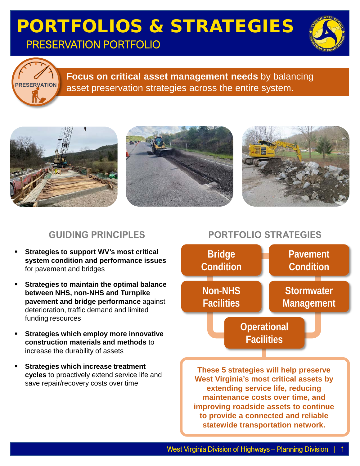### PORTFOLIOS & STRATEGIES PRESERVATION PORTFOLIO





**Focus on critical asset management needs** by balancing asset preservation strategies across the entire system.



#### **GUIDING PRINCIPLES**

- **Strategies to support WV's most critical system condition and performance issues**  for pavement and bridges
- **Strategies to maintain the optimal balance between NHS, non-NHS and Turnpike pavement and bridge performance** against deterioration, traffic demand and limited funding resources
- **Strategies which employ more innovative construction materials and methods** to increase the durability of assets
- **Strategies which increase treatment cycles** to proactively extend service life and save repair/recovery costs over time

#### **PORTFOLIO STRATEGIES**



**improving roadside assets to continue to provide a connected and reliable statewide transportation network.**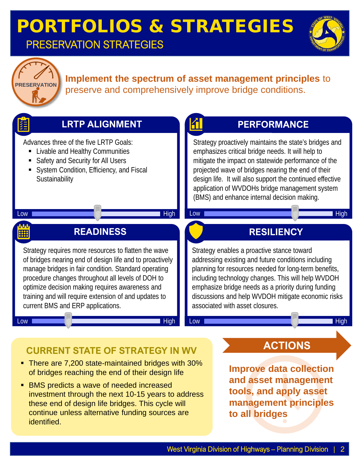### PORTFOLIOS & STRATEGIES PRESERVATION STRATEGIES





#### **Implement the spectrum of asset management principles** to preserve and comprehensively improve bridge conditions.



**BMS** predicts a wave of needed increased investment through the next 10-15 years to address these end of design life bridges. This cycle will continue unless alternative funding sources are identified.

**tools, and apply asset management principles to all bridges**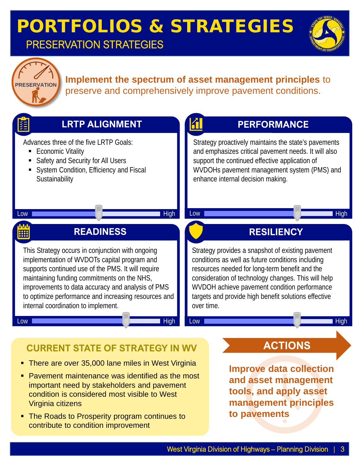### PORTFOLIOS & STRATEGIES PRESERVATION STRATEGIES





貆

#### **Implement the spectrum of asset management principles** to preserve and comprehensively improve pavement conditions.

**A** 



#### **CURRENT STATE OF STRATEGY IN WV**

• There are over 35,000 lane miles in West Virginia

**LRTP ALIGNMENT**

- **Pavement maintenance was identified as the most** important need by stakeholders and pavement condition is considered most visible to West Virginia citizens
- **The Roads to Prosperity program continues to** contribute to condition improvement

**ACTIONS**

**PERFORMANCE**

**Improve data collection and asset management tools, and apply asset management principles to pavements**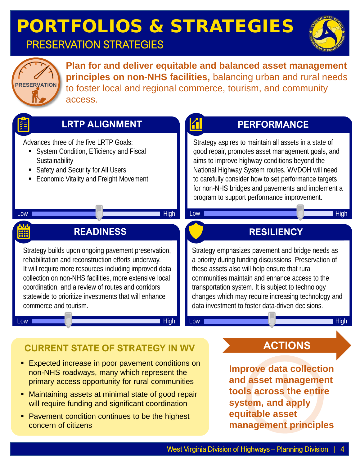# PORTFOLIOS & STRATEGIES

### PRESERVATION STRATEGIES





**Plan for and deliver equitable and balanced asset management principles on non-NHS facilities,** balancing urban and rural needs to foster local and regional commerce, tourism, and community access.



#### **LRTP ALIGNMENT**

Advances three of the five LRTP Goals:

- System Condition, Efficiency and Fiscal **Sustainability**
- **Safety and Security for All Users**
- **Economic Vitality and Freight Movement**

#### **PERFORMANCE**

Strategy aspires to maintain all assets in a state of good repair, promotes asset management goals, and aims to improve highway conditions beyond the National Highway System routes. WVDOH will need to carefully consider how to set performance targets for non-NHS bridges and pavements and implement a program to support performance improvement.

Low **High Account of the Community of the Community of the Community of the Community of the Community of the Co** 

**RESILIENCY**

Strategy emphasizes pavement and bridge needs as a priority during funding discussions. Preservation of

communities maintain and enhance access to the transportation system. It is subject to technology

data investment to foster data-driven decisions.

changes which may require increasing technology and

Low **High Account of the Community of the Community of the Community of the Community of the Community of the Co** 

these assets also will help ensure that rural

#### Low **High Account of the Contract of Contract of the Contract of Text** High

## $\frac{0.00}{1111}$

#### **READINESS**

Strategy builds upon ongoing pavement preservation, rehabilitation and reconstruction efforts underway. It will require more resources including improved data collection on non-NHS facilities, more extensive local coordination, and a review of routes and corridors statewide to prioritize investments that will enhance commerce and tourism.

Low **High Accounts to the Contract of the Contract of The Contract of The Contract of The Contract of The Contract of The Contract of The Contract of The Contract of The Contract of The Contract of The Contract of The Cont** 

## **CURRENT STATE OF STRATEGY IN WV**

- **Expected increase in poor pavement conditions on** non-NHS roadways, many which represent the primary access opportunity for rural communities
- Maintaining assets at minimal state of good repair will require funding and significant coordination
- **Pavement condition continues to be the highest** concern of citizens

**ACTIONS**

**Improve data collection and asset management tools across the entire system, and apply equitable asset management principles**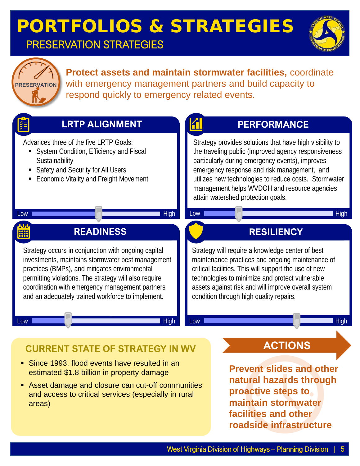### PORTFOLIOS & STRATEGIES PRESERVATION STRATEGIES





**Protect assets and maintain stormwater facilities,** coordinate with emergency management partners and build capacity to respond quickly to emergency related events.